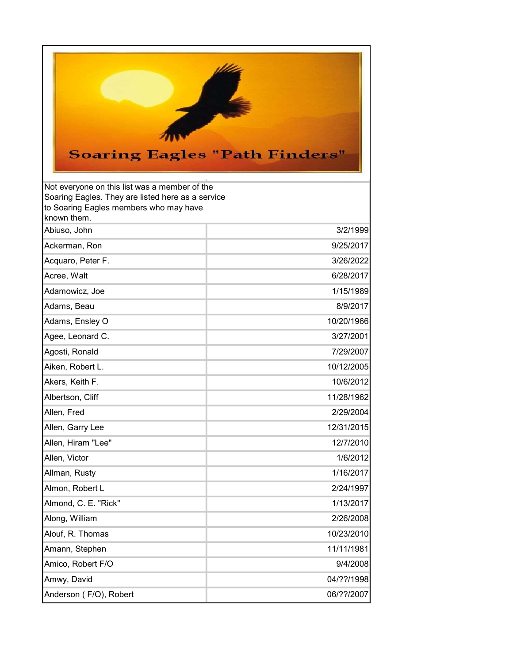

| Not everyone on this list was a member of the<br>Soaring Eagles. They are listed here as a service<br>to Soaring Eagles members who may have<br>known them. |            |
|-------------------------------------------------------------------------------------------------------------------------------------------------------------|------------|
| Abiuso, John                                                                                                                                                | 3/2/1999   |
| Ackerman, Ron                                                                                                                                               | 9/25/2017  |
| Acquaro, Peter F.                                                                                                                                           | 3/26/2022  |
| Acree, Walt                                                                                                                                                 | 6/28/2017  |
| Adamowicz, Joe                                                                                                                                              | 1/15/1989  |
| Adams, Beau                                                                                                                                                 | 8/9/2017   |
| Adams, Ensley O                                                                                                                                             | 10/20/1966 |
| Agee, Leonard C.                                                                                                                                            | 3/27/2001  |
| Agosti, Ronald                                                                                                                                              | 7/29/2007  |
| Aiken, Robert L.                                                                                                                                            | 10/12/2005 |
| Akers, Keith F.                                                                                                                                             | 10/6/2012  |
| Albertson, Cliff                                                                                                                                            | 11/28/1962 |
| Allen, Fred                                                                                                                                                 | 2/29/2004  |
| Allen, Garry Lee                                                                                                                                            | 12/31/2015 |
| Allen, Hiram "Lee"                                                                                                                                          | 12/7/2010  |
| Allen, Victor                                                                                                                                               | 1/6/2012   |
| Allman, Rusty                                                                                                                                               | 1/16/2017  |
| Almon, Robert L                                                                                                                                             | 2/24/1997  |
| Almond, C. E. "Rick"                                                                                                                                        | 1/13/2017  |
| Along, William                                                                                                                                              | 2/26/2008  |
| Alouf, R. Thomas                                                                                                                                            | 10/23/2010 |
| Amann, Stephen                                                                                                                                              | 11/11/1981 |
| Amico, Robert F/O                                                                                                                                           | 9/4/2008   |
| Amwy, David                                                                                                                                                 | 04/??/1998 |
| Anderson (F/O), Robert                                                                                                                                      | 06/??/2007 |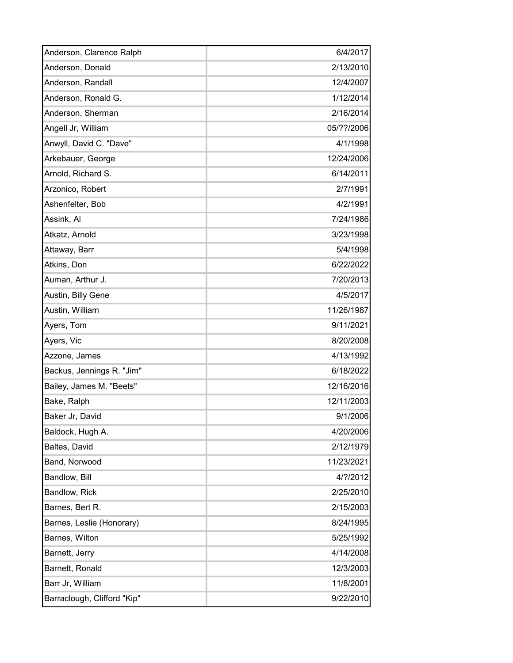| 6/4/2017   |
|------------|
| 2/13/2010  |
| 12/4/2007  |
| 1/12/2014  |
| 2/16/2014  |
| 05/??/2006 |
| 4/1/1998   |
|            |
| 12/24/2006 |
| 6/14/2011  |
| 2/7/1991   |
| 4/2/1991   |
| 7/24/1986  |
| 3/23/1998  |
| 5/4/1998   |
| 6/22/2022  |
| 7/20/2013  |
| 4/5/2017   |
| 11/26/1987 |
| 9/11/2021  |
| 8/20/2008  |
| 4/13/1992  |
| 6/18/2022  |
| 12/16/2016 |
| 12/11/2003 |
| 9/1/2006   |
| 4/20/2006  |
| 2/12/1979  |
| 11/23/2021 |
| 4/?/2012   |
| 2/25/2010  |
| 2/15/2003  |
| 8/24/1995  |
| 5/25/1992  |
| 4/14/2008  |
| 12/3/2003  |
| 11/8/2001  |
| 9/22/2010  |
|            |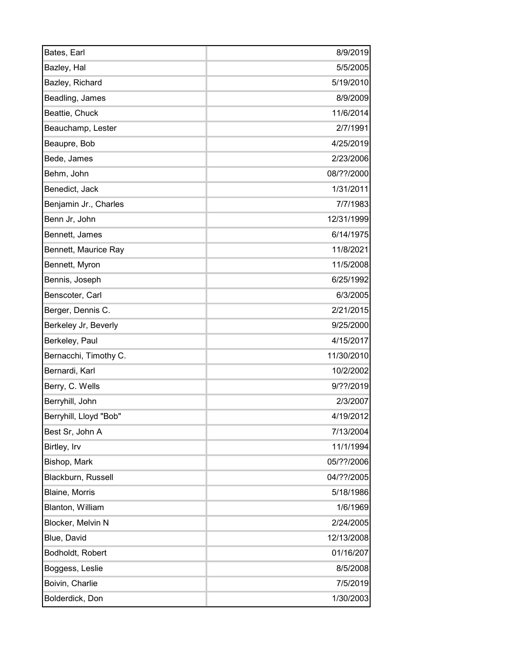| Bates, Earl            | 8/9/2019   |
|------------------------|------------|
| Bazley, Hal            | 5/5/2005   |
| Bazley, Richard        | 5/19/2010  |
| Beadling, James        | 8/9/2009   |
| Beattie, Chuck         | 11/6/2014  |
| Beauchamp, Lester      | 2/7/1991   |
| Beaupre, Bob           | 4/25/2019  |
| Bede, James            | 2/23/2006  |
| Behm, John             | 08/??/2000 |
| Benedict, Jack         | 1/31/2011  |
| Benjamin Jr., Charles  | 7/7/1983   |
| Benn Jr, John          | 12/31/1999 |
| Bennett, James         | 6/14/1975  |
| Bennett, Maurice Ray   | 11/8/2021  |
| Bennett, Myron         | 11/5/2008  |
| Bennis, Joseph         | 6/25/1992  |
| Benscoter, Carl        | 6/3/2005   |
| Berger, Dennis C.      | 2/21/2015  |
| Berkeley Jr, Beverly   | 9/25/2000  |
| Berkeley, Paul         | 4/15/2017  |
| Bernacchi, Timothy C.  | 11/30/2010 |
| Bernardi, Karl         | 10/2/2002  |
| Berry, C. Wells        | 9/??/2019  |
| Berryhill, John        | 2/3/2007   |
| Berryhill, Lloyd "Bob" | 4/19/2012  |
| Best Sr, John A        | 7/13/2004  |
| Birtley, Irv           | 11/1/1994  |
| Bishop, Mark           | 05/??/2006 |
| Blackburn, Russell     | 04/??/2005 |
| Blaine, Morris         | 5/18/1986  |
| Blanton, William       | 1/6/1969   |
| Blocker, Melvin N      | 2/24/2005  |
| Blue, David            | 12/13/2008 |
| Bodholdt, Robert       | 01/16/207  |
| Boggess, Leslie        | 8/5/2008   |
| Boivin, Charlie        | 7/5/2019   |
| Bolderdick, Don        | 1/30/2003  |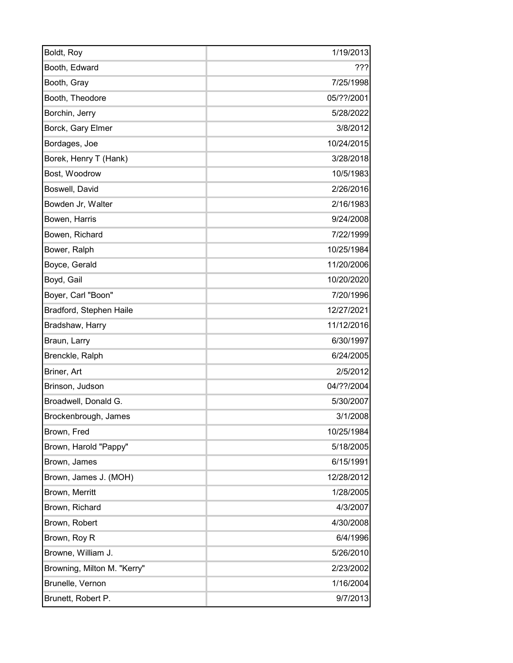| Boldt, Roy                  | 1/19/2013  |
|-----------------------------|------------|
| Booth, Edward               | 222        |
| Booth, Gray                 | 7/25/1998  |
| Booth, Theodore             | 05/??/2001 |
| Borchin, Jerry              | 5/28/2022  |
| Borck, Gary Elmer           | 3/8/2012   |
| Bordages, Joe               | 10/24/2015 |
| Borek, Henry T (Hank)       | 3/28/2018  |
| Bost, Woodrow               | 10/5/1983  |
| Boswell, David              | 2/26/2016  |
| Bowden Jr, Walter           | 2/16/1983  |
| Bowen, Harris               | 9/24/2008  |
| Bowen, Richard              | 7/22/1999  |
| Bower, Ralph                | 10/25/1984 |
| Boyce, Gerald               | 11/20/2006 |
| Boyd, Gail                  | 10/20/2020 |
| Boyer, Carl "Boon"          | 7/20/1996  |
| Bradford, Stephen Haile     | 12/27/2021 |
| Bradshaw, Harry             | 11/12/2016 |
| Braun, Larry                | 6/30/1997  |
| Brenckle, Ralph             | 6/24/2005  |
| Briner, Art                 | 2/5/2012   |
| Brinson, Judson             | 04/??/2004 |
| Broadwell, Donald G.        | 5/30/2007  |
| Brockenbrough, James        | 3/1/2008   |
| Brown, Fred                 | 10/25/1984 |
| Brown, Harold "Pappy"       | 5/18/2005  |
| Brown, James                | 6/15/1991  |
| Brown, James J. (MOH)       | 12/28/2012 |
| Brown, Merritt              | 1/28/2005  |
| Brown, Richard              | 4/3/2007   |
| Brown, Robert               | 4/30/2008  |
| Brown, Roy R                | 6/4/1996   |
| Browne, William J.          | 5/26/2010  |
| Browning, Milton M. "Kerry" | 2/23/2002  |
| Brunelle, Vernon            | 1/16/2004  |
| Brunett, Robert P.          | 9/7/2013   |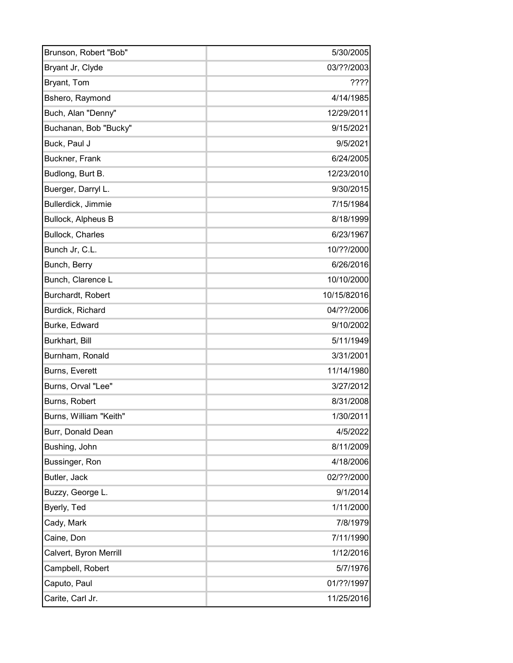| Brunson, Robert "Bob"     | 5/30/2005   |
|---------------------------|-------------|
| Bryant Jr, Clyde          | 03/??/2003  |
| Bryant, Tom               | 7777        |
| Bshero, Raymond           | 4/14/1985   |
| Buch, Alan "Denny"        | 12/29/2011  |
| Buchanan, Bob "Bucky"     | 9/15/2021   |
| Buck, Paul J              | 9/5/2021    |
| Buckner, Frank            | 6/24/2005   |
| Budlong, Burt B.          | 12/23/2010  |
| Buerger, Darryl L.        | 9/30/2015   |
| Bullerdick, Jimmie        | 7/15/1984   |
| <b>Bullock, Alpheus B</b> | 8/18/1999   |
| <b>Bullock, Charles</b>   | 6/23/1967   |
| Bunch Jr, C.L.            | 10/??/2000  |
| Bunch, Berry              | 6/26/2016   |
| Bunch, Clarence L         | 10/10/2000  |
| Burchardt, Robert         | 10/15/82016 |
| Burdick, Richard          | 04/??/2006  |
| Burke, Edward             | 9/10/2002   |
| Burkhart, Bill            | 5/11/1949   |
| Burnham, Ronald           | 3/31/2001   |
| Burns, Everett            | 11/14/1980  |
| Burns, Orval "Lee"        | 3/27/2012   |
| Burns, Robert             | 8/31/2008   |
| Burns, William "Keith"    | 1/30/2011   |
| Burr, Donald Dean         | 4/5/2022    |
| Bushing, John             | 8/11/2009   |
| Bussinger, Ron            | 4/18/2006   |
| Butler, Jack              | 02/??/2000  |
| Buzzy, George L.          | 9/1/2014    |
| Byerly, Ted               | 1/11/2000   |
| Cady, Mark                | 7/8/1979    |
| Caine, Don                | 7/11/1990   |
| Calvert, Byron Merrill    | 1/12/2016   |
| Campbell, Robert          | 5/7/1976    |
| Caputo, Paul              | 01/??/1997  |
| Carite, Carl Jr.          | 11/25/2016  |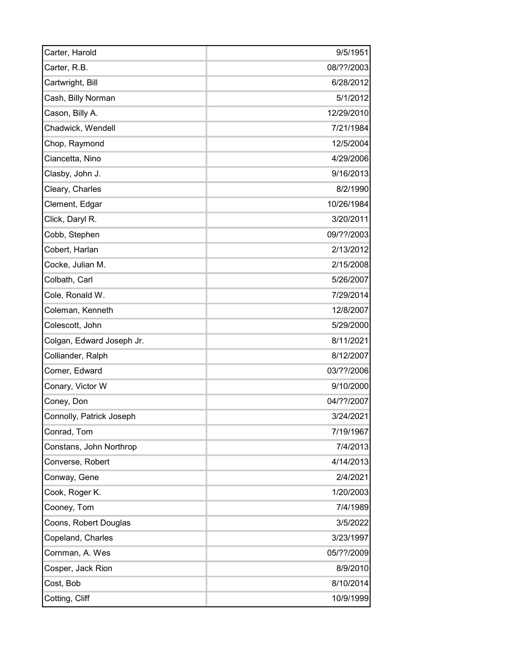| Carter, Harold            | 9/5/1951   |
|---------------------------|------------|
| Carter, R.B.              | 08/??/2003 |
| Cartwright, Bill          | 6/28/2012  |
| Cash, Billy Norman        | 5/1/2012   |
| Cason, Billy A.           | 12/29/2010 |
| Chadwick, Wendell         | 7/21/1984  |
| Chop, Raymond             | 12/5/2004  |
| Ciancetta, Nino           | 4/29/2006  |
| Clasby, John J.           | 9/16/2013  |
| Cleary, Charles           | 8/2/1990   |
| Clement, Edgar            | 10/26/1984 |
| Click, Daryl R.           | 3/20/2011  |
| Cobb, Stephen             | 09/??/2003 |
| Cobert, Harlan            | 2/13/2012  |
| Cocke, Julian M.          | 2/15/2008  |
| Colbath, Carl             | 5/26/2007  |
| Cole, Ronald W.           | 7/29/2014  |
| Coleman, Kenneth          | 12/8/2007  |
| Colescott, John           | 5/29/2000  |
| Colgan, Edward Joseph Jr. | 8/11/2021  |
| Colliander, Ralph         | 8/12/2007  |
| Comer, Edward             | 03/??/2006 |
| Conary, Victor W          | 9/10/2000  |
| Coney, Don                | 04/??/2007 |
| Connolly, Patrick Joseph  | 3/24/2021  |
| Conrad, Tom               | 7/19/1967  |
| Constans, John Northrop   | 7/4/2013   |
| Converse, Robert          | 4/14/2013  |
| Conway, Gene              | 2/4/2021   |
| Cook, Roger K.            | 1/20/2003  |
| Cooney, Tom               | 7/4/1989   |
| Coons, Robert Douglas     | 3/5/2022   |
| Copeland, Charles         | 3/23/1997  |
| Cornman, A. Wes           | 05/??/2009 |
| Cosper, Jack Rion         | 8/9/2010   |
| Cost, Bob                 | 8/10/2014  |
| Cotting, Cliff            | 10/9/1999  |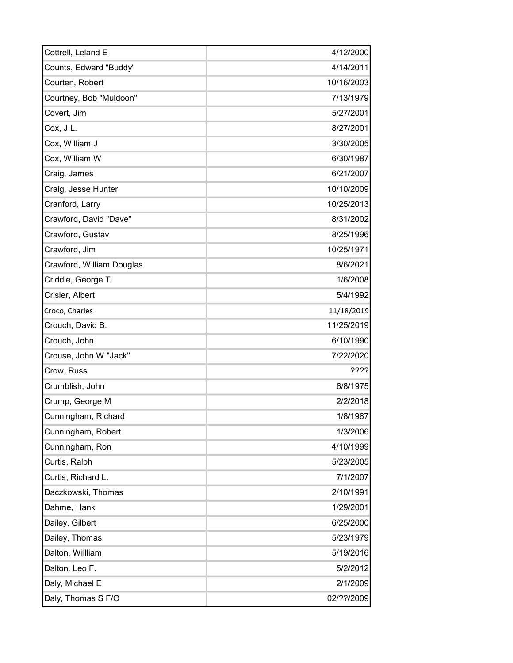| Cottrell, Leland E        | 4/12/2000  |
|---------------------------|------------|
| Counts, Edward "Buddy"    | 4/14/2011  |
| Courten, Robert           | 10/16/2003 |
| Courtney, Bob "Muldoon"   | 7/13/1979  |
| Covert, Jim               | 5/27/2001  |
| Cox, J.L.                 | 8/27/2001  |
| Cox, William J            | 3/30/2005  |
| Cox, William W            | 6/30/1987  |
| Craig, James              | 6/21/2007  |
| Craig, Jesse Hunter       | 10/10/2009 |
| Cranford, Larry           | 10/25/2013 |
| Crawford, David "Dave"    | 8/31/2002  |
| Crawford, Gustav          | 8/25/1996  |
| Crawford, Jim             | 10/25/1971 |
| Crawford, William Douglas | 8/6/2021   |
| Criddle, George T.        | 1/6/2008   |
| Crisler, Albert           | 5/4/1992   |
| Croco, Charles            | 11/18/2019 |
| Crouch, David B.          | 11/25/2019 |
| Crouch, John              | 6/10/1990  |
| Crouse, John W "Jack"     | 7/22/2020  |
| Crow, Russ                | ????       |
| Crumblish, John           | 6/8/1975   |
| Crump, George M           | 2/2/2018   |
| Cunningham, Richard       | 1/8/1987   |
| Cunningham, Robert        | 1/3/2006   |
| Cunningham, Ron           | 4/10/1999  |
| Curtis, Ralph             | 5/23/2005  |
| Curtis, Richard L.        | 7/1/2007   |
| Daczkowski, Thomas        | 2/10/1991  |
| Dahme, Hank               | 1/29/2001  |
| Dailey, Gilbert           | 6/25/2000  |
| Dailey, Thomas            | 5/23/1979  |
| Dalton, Willliam          | 5/19/2016  |
| Dalton. Leo F.            | 5/2/2012   |
| Daly, Michael E           | 2/1/2009   |
| Daly, Thomas S F/O        | 02/??/2009 |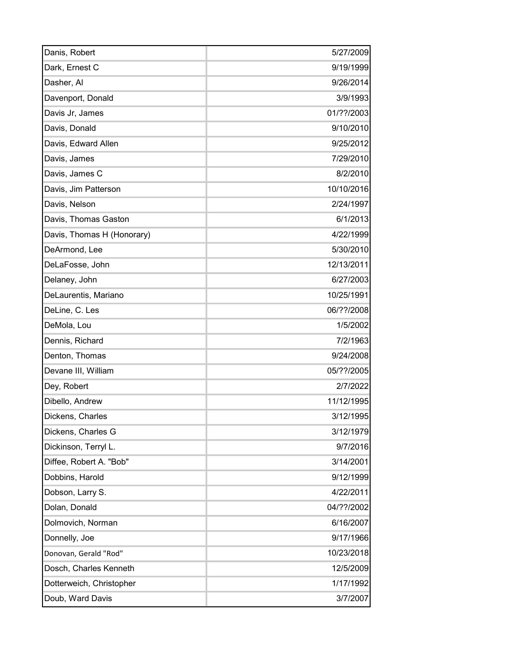| Danis, Robert              | 5/27/2009  |
|----------------------------|------------|
| Dark, Ernest C             | 9/19/1999  |
| Dasher, Al                 | 9/26/2014  |
| Davenport, Donald          | 3/9/1993   |
| Davis Jr, James            | 01/??/2003 |
| Davis, Donald              | 9/10/2010  |
| Davis, Edward Allen        | 9/25/2012  |
| Davis, James               | 7/29/2010  |
| Davis, James C             | 8/2/2010   |
| Davis, Jim Patterson       | 10/10/2016 |
| Davis, Nelson              | 2/24/1997  |
| Davis, Thomas Gaston       | 6/1/2013   |
| Davis, Thomas H (Honorary) | 4/22/1999  |
| DeArmond, Lee              | 5/30/2010  |
| DeLaFosse, John            | 12/13/2011 |
| Delaney, John              | 6/27/2003  |
| DeLaurentis, Mariano       | 10/25/1991 |
| DeLine, C. Les             | 06/??/2008 |
| DeMola, Lou                | 1/5/2002   |
| Dennis, Richard            | 7/2/1963   |
| Denton, Thomas             | 9/24/2008  |
| Devane III, William        | 05/??/2005 |
| Dey, Robert                | 2/7/2022   |
| Dibello, Andrew            | 11/12/1995 |
| Dickens, Charles           | 3/12/1995  |
| Dickens, Charles G         | 3/12/1979  |
| Dickinson, Terryl L.       | 9/7/2016   |
| Diffee, Robert A. "Bob"    | 3/14/2001  |
| Dobbins, Harold            | 9/12/1999  |
| Dobson, Larry S.           | 4/22/2011  |
| Dolan, Donald              | 04/??/2002 |
| Dolmovich, Norman          | 6/16/2007  |
| Donnelly, Joe              | 9/17/1966  |
| Donovan, Gerald "Rod"      | 10/23/2018 |
| Dosch, Charles Kenneth     | 12/5/2009  |
| Dotterweich, Christopher   | 1/17/1992  |
| Doub, Ward Davis           | 3/7/2007   |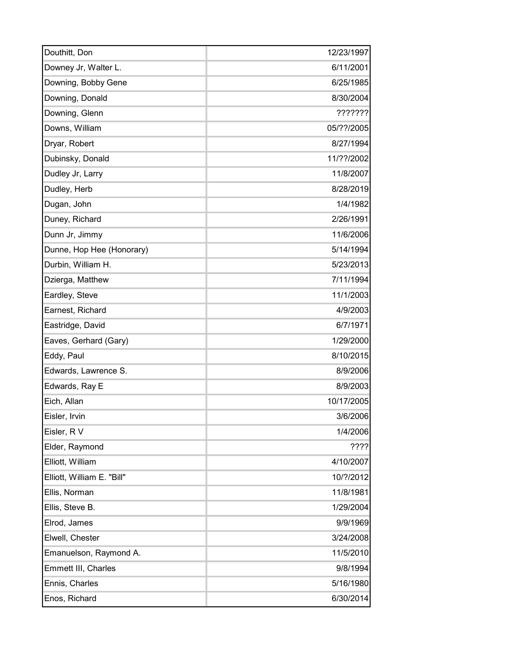| Douthitt, Don              | 12/23/1997 |
|----------------------------|------------|
|                            | 6/11/2001  |
| Downey Jr, Walter L.       | 6/25/1985  |
| Downing, Bobby Gene        |            |
| Downing, Donald            | 8/30/2004  |
| Downing, Glenn             | ???????    |
| Downs, William             | 05/??/2005 |
| Dryar, Robert              | 8/27/1994  |
| Dubinsky, Donald           | 11/??/2002 |
| Dudley Jr, Larry           | 11/8/2007  |
| Dudley, Herb               | 8/28/2019  |
| Dugan, John                | 1/4/1982   |
| Duney, Richard             | 2/26/1991  |
| Dunn Jr, Jimmy             | 11/6/2006  |
| Dunne, Hop Hee (Honorary)  | 5/14/1994  |
| Durbin, William H.         | 5/23/2013  |
| Dzierga, Matthew           | 7/11/1994  |
| Eardley, Steve             | 11/1/2003  |
| Earnest, Richard           | 4/9/2003   |
| Eastridge, David           | 6/7/1971   |
| Eaves, Gerhard (Gary)      | 1/29/2000  |
| Eddy, Paul                 | 8/10/2015  |
| Edwards, Lawrence S.       | 8/9/2006   |
| Edwards, Ray E             | 8/9/2003   |
| Eich, Allan                | 10/17/2005 |
| Eisler, Irvin              | 3/6/2006   |
| Eisler, RV                 | 1/4/2006   |
| Elder, Raymond             | 7777       |
| Elliott, William           | 4/10/2007  |
| Elliott, William E. "Bill" | 10/?/2012  |
| Ellis, Norman              | 11/8/1981  |
| Ellis, Steve B.            | 1/29/2004  |
| Elrod, James               | 9/9/1969   |
| Elwell, Chester            | 3/24/2008  |
| Emanuelson, Raymond A.     | 11/5/2010  |
| Emmett III, Charles        | 9/8/1994   |
| Ennis, Charles             | 5/16/1980  |
| Enos, Richard              | 6/30/2014  |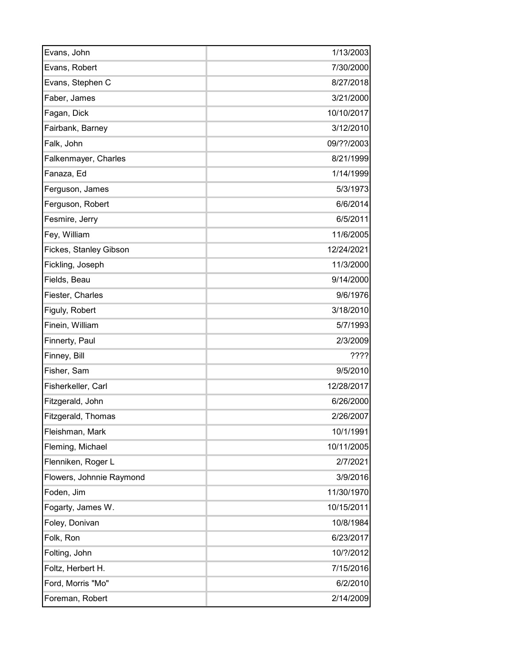| Evans, John              | 1/13/2003  |
|--------------------------|------------|
| Evans, Robert            | 7/30/2000  |
| Evans, Stephen C         | 8/27/2018  |
| Faber, James             | 3/21/2000  |
| Fagan, Dick              | 10/10/2017 |
| Fairbank, Barney         | 3/12/2010  |
| Falk, John               | 09/??/2003 |
| Falkenmayer, Charles     | 8/21/1999  |
| Fanaza, Ed               | 1/14/1999  |
| Ferguson, James          | 5/3/1973   |
| Ferguson, Robert         | 6/6/2014   |
| Fesmire, Jerry           | 6/5/2011   |
| Fey, William             | 11/6/2005  |
| Fickes, Stanley Gibson   | 12/24/2021 |
| Fickling, Joseph         | 11/3/2000  |
| Fields, Beau             | 9/14/2000  |
| Fiester, Charles         | 9/6/1976   |
| Figuly, Robert           | 3/18/2010  |
| Finein, William          | 5/7/1993   |
| Finnerty, Paul           | 2/3/2009   |
| Finney, Bill             | 7777       |
| Fisher, Sam              | 9/5/2010   |
| Fisherkeller, Carl       | 12/28/2017 |
| Fitzgerald, John         | 6/26/2000  |
| Fitzgerald, Thomas       | 2/26/2007  |
| Fleishman, Mark          | 10/1/1991  |
| Fleming, Michael         | 10/11/2005 |
| Flenniken, Roger L       | 2/7/2021   |
| Flowers, Johnnie Raymond | 3/9/2016   |
| Foden, Jim               | 11/30/1970 |
| Fogarty, James W.        | 10/15/2011 |
| Foley, Donivan           | 10/8/1984  |
| Folk, Ron                | 6/23/2017  |
| Folting, John            | 10/?/2012  |
| Foltz, Herbert H.        | 7/15/2016  |
| Ford, Morris "Mo"        | 6/2/2010   |
| Foreman, Robert          | 2/14/2009  |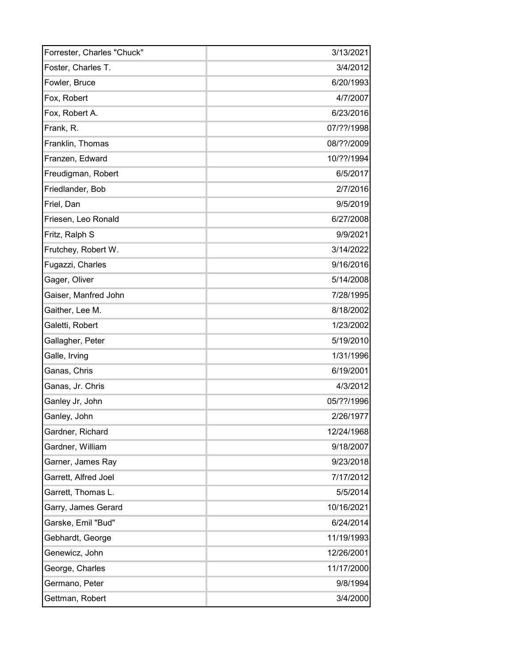| Forrester, Charles "Chuck" | 3/13/2021  |
|----------------------------|------------|
| Foster, Charles T.         | 3/4/2012   |
| Fowler, Bruce              | 6/20/1993  |
| Fox, Robert                | 4/7/2007   |
| Fox, Robert A.             | 6/23/2016  |
| Frank, R.                  | 07/??/1998 |
| Franklin, Thomas           | 08/??/2009 |
| Franzen, Edward            | 10/??/1994 |
| Freudigman, Robert         | 6/5/2017   |
| Friedlander, Bob           | 2/7/2016   |
| Friel, Dan                 | 9/5/2019   |
| Friesen, Leo Ronald        | 6/27/2008  |
| Fritz, Ralph S             | 9/9/2021   |
| Frutchey, Robert W.        | 3/14/2022  |
| Fugazzi, Charles           | 9/16/2016  |
| Gager, Oliver              | 5/14/2008  |
| Gaiser, Manfred John       | 7/28/1995  |
| Gaither, Lee M.            | 8/18/2002  |
| Galetti, Robert            | 1/23/2002  |
| Gallagher, Peter           | 5/19/2010  |
| Galle, Irving              | 1/31/1996  |
| Ganas, Chris               | 6/19/2001  |
| Ganas, Jr. Chris           | 4/3/2012   |
| Ganley Jr, John            | 05/??/1996 |
| Ganley, John               | 2/26/1977  |
| Gardner, Richard           | 12/24/1968 |
| Gardner, William           | 9/18/2007  |
| Garner, James Ray          | 9/23/2018  |
| Garrett, Alfred Joel       | 7/17/2012  |
| Garrett, Thomas L.         | 5/5/2014   |
| Garry, James Gerard        | 10/16/2021 |
| Garske, Emil "Bud"         | 6/24/2014  |
| Gebhardt, George           | 11/19/1993 |
| Genewicz, John             | 12/26/2001 |
| George, Charles            | 11/17/2000 |
| Germano, Peter             | 9/8/1994   |
| Gettman, Robert            | 3/4/2000   |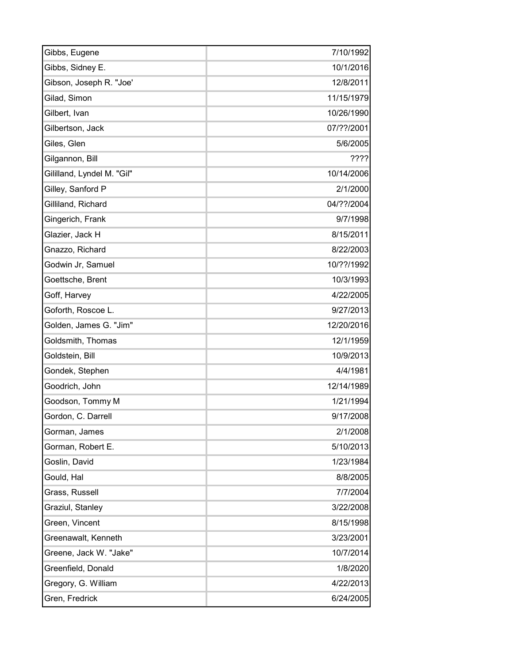| Gibbs, Eugene              | 7/10/1992  |
|----------------------------|------------|
| Gibbs, Sidney E.           | 10/1/2016  |
| Gibson, Joseph R. "Joe'    | 12/8/2011  |
| Gilad, Simon               | 11/15/1979 |
| Gilbert, Ivan              | 10/26/1990 |
| Gilbertson, Jack           | 07/??/2001 |
| Giles, Glen                | 5/6/2005   |
| Gilgannon, Bill            | ????       |
| Gililland, Lyndel M. "Gil" | 10/14/2006 |
| Gilley, Sanford P          | 2/1/2000   |
| Gilliland, Richard         | 04/??/2004 |
| Gingerich, Frank           | 9/7/1998   |
| Glazier, Jack H            | 8/15/2011  |
| Gnazzo, Richard            | 8/22/2003  |
| Godwin Jr, Samuel          | 10/??/1992 |
| Goettsche, Brent           | 10/3/1993  |
| Goff, Harvey               | 4/22/2005  |
| Goforth, Roscoe L.         | 9/27/2013  |
| Golden, James G. "Jim"     | 12/20/2016 |
| Goldsmith, Thomas          | 12/1/1959  |
| Goldstein, Bill            | 10/9/2013  |
| Gondek, Stephen            | 4/4/1981   |
| Goodrich, John             | 12/14/1989 |
| Goodson, Tommy M           | 1/21/1994  |
| Gordon, C. Darrell         | 9/17/2008  |
| Gorman, James              | 2/1/2008   |
| Gorman, Robert E.          | 5/10/2013  |
| Goslin, David              | 1/23/1984  |
| Gould, Hal                 | 8/8/2005   |
| Grass, Russell             | 7/7/2004   |
| Graziul, Stanley           | 3/22/2008  |
| Green, Vincent             | 8/15/1998  |
| Greenawalt, Kenneth        | 3/23/2001  |
| Greene, Jack W. "Jake"     | 10/7/2014  |
| Greenfield, Donald         | 1/8/2020   |
| Gregory, G. William        | 4/22/2013  |
| Gren, Fredrick             | 6/24/2005  |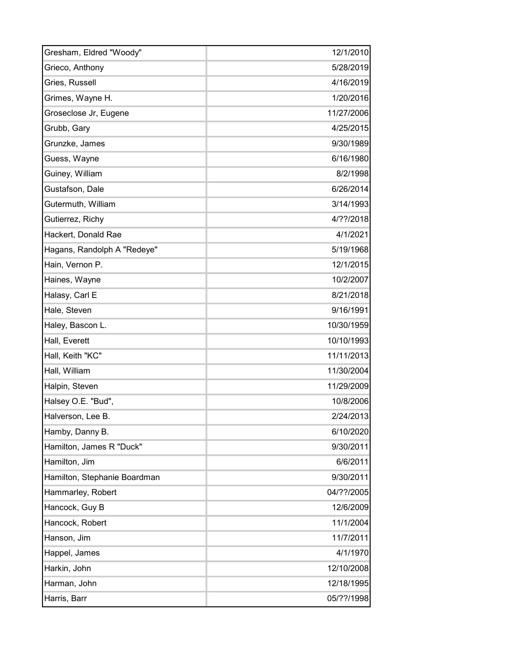| Gresham, Eldred "Woody"      | 12/1/2010  |
|------------------------------|------------|
| Grieco, Anthony              | 5/28/2019  |
| Gries, Russell               | 4/16/2019  |
| Grimes, Wayne H.             | 1/20/2016  |
| Groseclose Jr, Eugene        | 11/27/2006 |
| Grubb, Gary                  | 4/25/2015  |
| Grunzke, James               | 9/30/1989  |
| Guess, Wayne                 | 6/16/1980  |
| Guiney, William              | 8/2/1998   |
| Gustafson, Dale              | 6/26/2014  |
| Gutermuth, William           | 3/14/1993  |
| Gutierrez, Richy             | 4/??/2018  |
| Hackert, Donald Rae          | 4/1/2021   |
| Hagans, Randolph A "Redeye"  | 5/19/1968  |
| Hain, Vernon P.              | 12/1/2015  |
| Haines, Wayne                | 10/2/2007  |
| Halasy, Carl E               | 8/21/2018  |
| Hale, Steven                 | 9/16/1991  |
| Haley, Bascon L.             | 10/30/1959 |
| Hall, Everett                | 10/10/1993 |
| Hall, Keith "KC"             | 11/11/2013 |
| Hall, William                | 11/30/2004 |
| Halpin, Steven               | 11/29/2009 |
| Halsey O.E. "Bud",           | 10/8/2006  |
| Halverson, Lee B.            | 2/24/2013  |
| Hamby, Danny B.              | 6/10/2020  |
| Hamilton, James R "Duck"     | 9/30/2011  |
| Hamilton, Jim                | 6/6/2011   |
| Hamilton, Stephanie Boardman | 9/30/2011  |
| Hammarley, Robert            | 04/??/2005 |
| Hancock, Guy B               | 12/6/2009  |
| Hancock, Robert              | 11/1/2004  |
| Hanson, Jim                  | 11/7/2011  |
| Happel, James                | 4/1/1970   |
| Harkin, John                 | 12/10/2008 |
| Harman, John                 | 12/18/1995 |
| Harris, Barr                 | 05/??/1998 |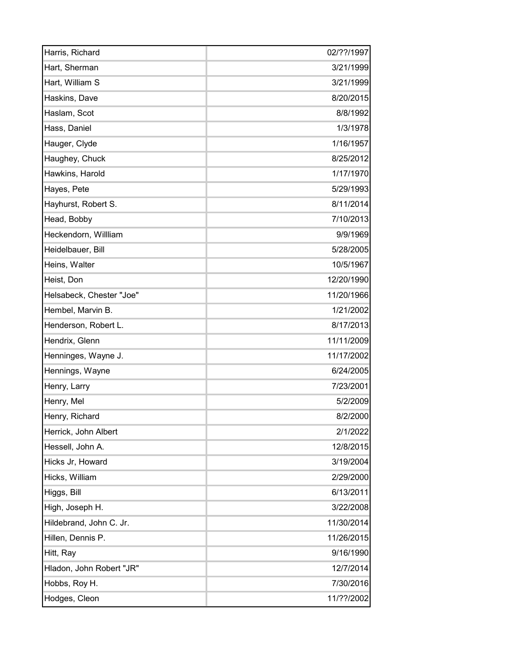| Harris, Richard          | 02/??/1997 |
|--------------------------|------------|
| Hart, Sherman            | 3/21/1999  |
| Hart, William S          | 3/21/1999  |
| Haskins, Dave            | 8/20/2015  |
| Haslam, Scot             | 8/8/1992   |
| Hass, Daniel             | 1/3/1978   |
| Hauger, Clyde            | 1/16/1957  |
| Haughey, Chuck           | 8/25/2012  |
| Hawkins, Harold          | 1/17/1970  |
| Hayes, Pete              | 5/29/1993  |
| Hayhurst, Robert S.      | 8/11/2014  |
| Head, Bobby              | 7/10/2013  |
| Heckendorn, Willliam     | 9/9/1969   |
| Heidelbauer, Bill        | 5/28/2005  |
| Heins, Walter            | 10/5/1967  |
| Heist, Don               | 12/20/1990 |
| Helsabeck, Chester "Joe" | 11/20/1966 |
| Hembel, Marvin B.        | 1/21/2002  |
| Henderson, Robert L.     | 8/17/2013  |
| Hendrix, Glenn           | 11/11/2009 |
| Henninges, Wayne J.      | 11/17/2002 |
| Hennings, Wayne          | 6/24/2005  |
| Henry, Larry             | 7/23/2001  |
| Henry, Mel               | 5/2/2009   |
| Henry, Richard           | 8/2/2000   |
| Herrick, John Albert     | 2/1/2022   |
| Hessell, John A.         | 12/8/2015  |
| Hicks Jr, Howard         | 3/19/2004  |
| Hicks, William           | 2/29/2000  |
| Higgs, Bill              | 6/13/2011  |
| High, Joseph H.          | 3/22/2008  |
| Hildebrand, John C. Jr.  | 11/30/2014 |
| Hillen, Dennis P.        | 11/26/2015 |
| Hitt, Ray                | 9/16/1990  |
| Hladon, John Robert "JR" | 12/7/2014  |
| Hobbs, Roy H.            | 7/30/2016  |
| Hodges, Cleon            | 11/??/2002 |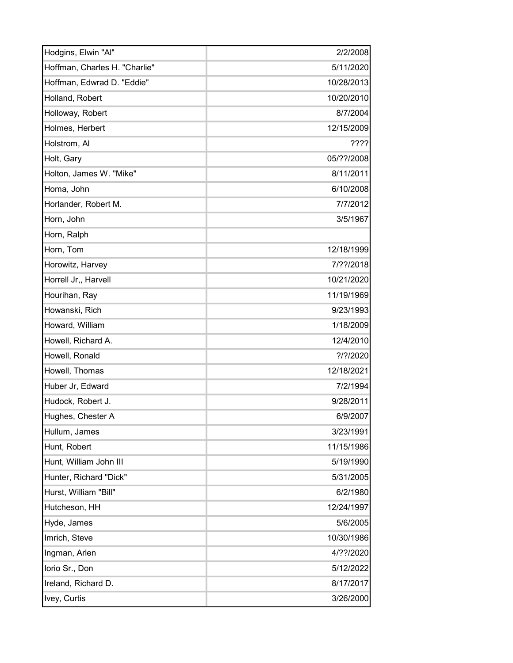| Hodgins, Elwin "Al"           | 2/2/2008    |
|-------------------------------|-------------|
| Hoffman, Charles H. "Charlie" | 5/11/2020   |
| Hoffman, Edwrad D. "Eddie"    | 10/28/2013  |
| Holland, Robert               | 10/20/2010  |
| Holloway, Robert              | 8/7/2004    |
| Holmes, Herbert               | 12/15/2009  |
| Holstrom, Al                  | ????        |
| Holt, Gary                    | 05/??/2008  |
| Holton, James W. "Mike"       | 8/11/2011   |
| Homa, John                    | 6/10/2008   |
| Horlander, Robert M.          | 7/7/2012    |
| Horn, John                    | 3/5/1967    |
| Horn, Ralph                   |             |
| Horn, Tom                     | 12/18/1999  |
| Horowitz, Harvey              | 7/??/2018   |
| Horrell Jr,, Harvell          | 10/21/2020  |
| Hourihan, Ray                 | 11/19/1969  |
| Howanski, Rich                | 9/23/1993   |
| Howard, William               | 1/18/2009   |
| Howell, Richard A.            | 12/4/2010   |
| Howell, Ronald                | $?$ /?/2020 |
| Howell, Thomas                | 12/18/2021  |
| Huber Jr, Edward              | 7/2/1994    |
| Hudock, Robert J.             | 9/28/2011   |
| Hughes, Chester A             | 6/9/2007    |
| Hullum, James                 | 3/23/1991   |
| Hunt, Robert                  | 11/15/1986  |
| Hunt, William John III        | 5/19/1990   |
| Hunter, Richard "Dick"        | 5/31/2005   |
| Hurst, William "Bill"         | 6/2/1980    |
| Hutcheson, HH                 | 12/24/1997  |
| Hyde, James                   | 5/6/2005    |
| Imrich, Steve                 | 10/30/1986  |
| Ingman, Arlen                 | 4/??/2020   |
| lorio Sr., Don                | 5/12/2022   |
| Ireland, Richard D.           | 8/17/2017   |
| Ivey, Curtis                  | 3/26/2000   |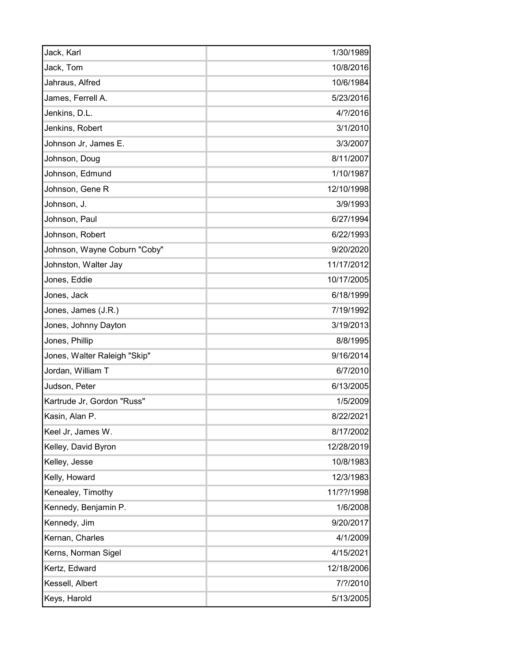| Jack, Karl                   | 1/30/1989  |
|------------------------------|------------|
| Jack, Tom                    | 10/8/2016  |
| Jahraus, Alfred              | 10/6/1984  |
| James, Ferrell A.            | 5/23/2016  |
| Jenkins, D.L.                | 4/?/2016   |
| Jenkins, Robert              | 3/1/2010   |
| Johnson Jr, James E.         | 3/3/2007   |
| Johnson, Doug                | 8/11/2007  |
| Johnson, Edmund              | 1/10/1987  |
| Johnson, Gene R              | 12/10/1998 |
| Johnson, J.                  | 3/9/1993   |
| Johnson, Paul                | 6/27/1994  |
| Johnson, Robert              | 6/22/1993  |
| Johnson, Wayne Coburn "Coby" | 9/20/2020  |
| Johnston, Walter Jay         | 11/17/2012 |
| Jones, Eddie                 | 10/17/2005 |
| Jones, Jack                  | 6/18/1999  |
| Jones, James (J.R.)          | 7/19/1992  |
| Jones, Johnny Dayton         | 3/19/2013  |
| Jones, Phillip               | 8/8/1995   |
| Jones, Walter Raleigh "Skip" | 9/16/2014  |
| Jordan, William T            | 6/7/2010   |
| Judson, Peter                | 6/13/2005  |
| Kartrude Jr, Gordon "Russ"   | 1/5/2009   |
| Kasin, Alan P.               | 8/22/2021  |
| Keel Jr, James W.            | 8/17/2002  |
| Kelley, David Byron          | 12/28/2019 |
| Kelley, Jesse                | 10/8/1983  |
| Kelly, Howard                | 12/3/1983  |
| Kenealey, Timothy            | 11/??/1998 |
| Kennedy, Benjamin P.         | 1/6/2008   |
| Kennedy, Jim                 | 9/20/2017  |
| Kernan, Charles              | 4/1/2009   |
| Kerns, Norman Sigel          | 4/15/2021  |
| Kertz, Edward                | 12/18/2006 |
| Kessell, Albert              | 7/?/2010   |
| Keys, Harold                 | 5/13/2005  |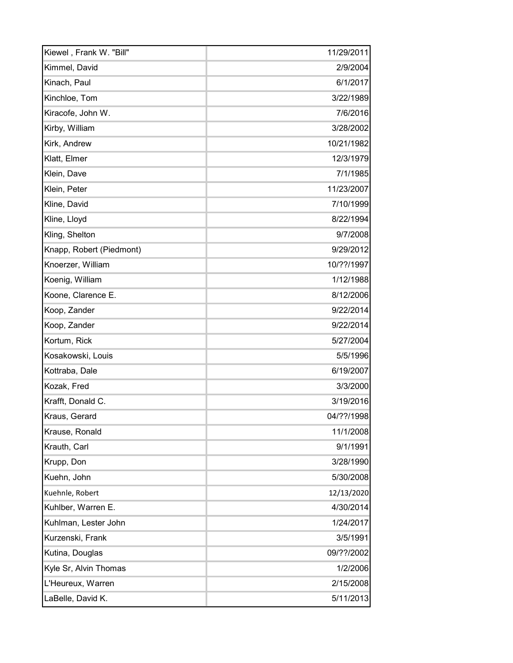| Kiewel, Frank W. "Bill"  | 11/29/2011 |
|--------------------------|------------|
| Kimmel, David            | 2/9/2004   |
| Kinach, Paul             | 6/1/2017   |
| Kinchloe, Tom            | 3/22/1989  |
| Kiracofe, John W.        | 7/6/2016   |
| Kirby, William           | 3/28/2002  |
| Kirk, Andrew             | 10/21/1982 |
| Klatt, Elmer             | 12/3/1979  |
| Klein, Dave              | 7/1/1985   |
| Klein, Peter             | 11/23/2007 |
| Kline, David             | 7/10/1999  |
| Kline, Lloyd             | 8/22/1994  |
| Kling, Shelton           | 9/7/2008   |
| Knapp, Robert (Piedmont) | 9/29/2012  |
| Knoerzer, William        | 10/??/1997 |
| Koenig, William          | 1/12/1988  |
| Koone, Clarence E.       | 8/12/2006  |
| Koop, Zander             | 9/22/2014  |
| Koop, Zander             | 9/22/2014  |
| Kortum, Rick             | 5/27/2004  |
| Kosakowski, Louis        | 5/5/1996   |
| Kottraba, Dale           | 6/19/2007  |
| Kozak, Fred              | 3/3/2000   |
| Krafft, Donald C.        | 3/19/2016  |
| Kraus, Gerard            | 04/??/1998 |
| Krause, Ronald           | 11/1/2008  |
| Krauth, Carl             | 9/1/1991   |
| Krupp, Don               | 3/28/1990  |
| Kuehn, John              | 5/30/2008  |
| Kuehnle, Robert          | 12/13/2020 |
| Kuhlber, Warren E.       | 4/30/2014  |
| Kuhlman, Lester John     | 1/24/2017  |
| Kurzenski, Frank         | 3/5/1991   |
| Kutina, Douglas          | 09/??/2002 |
| Kyle Sr, Alvin Thomas    | 1/2/2006   |
| L'Heureux, Warren        | 2/15/2008  |
| LaBelle, David K.        | 5/11/2013  |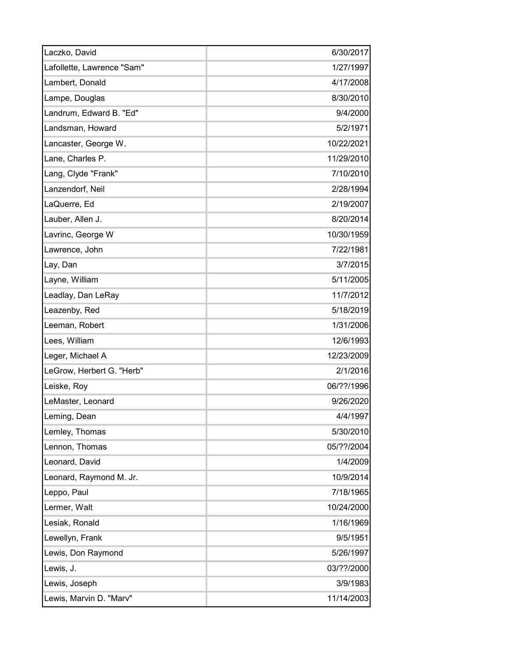| Laczko, David              | 6/30/2017  |
|----------------------------|------------|
| Lafollette, Lawrence "Sam" | 1/27/1997  |
| Lambert, Donald            | 4/17/2008  |
| Lampe, Douglas             | 8/30/2010  |
| Landrum, Edward B. "Ed"    | 9/4/2000   |
| Landsman, Howard           | 5/2/1971   |
| Lancaster, George W.       | 10/22/2021 |
| Lane, Charles P.           | 11/29/2010 |
| Lang, Clyde "Frank"        | 7/10/2010  |
| Lanzendorf, Neil           | 2/28/1994  |
| LaQuerre, Ed               | 2/19/2007  |
| Lauber, Allen J.           | 8/20/2014  |
| Lavrinc, George W          | 10/30/1959 |
| Lawrence, John             | 7/22/1981  |
| Lay, Dan                   | 3/7/2015   |
| Layne, William             | 5/11/2005  |
| Leadlay, Dan LeRay         | 11/7/2012  |
| Leazenby, Red              | 5/18/2019  |
| Leeman, Robert             | 1/31/2006  |
| Lees, William              | 12/6/1993  |
| Leger, Michael A           | 12/23/2009 |
| LeGrow, Herbert G. "Herb"  | 2/1/2016   |
| Leiske, Roy                | 06/??/1996 |
| LeMaster, Leonard          | 9/26/2020  |
| Leming, Dean               | 4/4/1997   |
| Lemley, Thomas             | 5/30/2010  |
| Lennon, Thomas             | 05/??/2004 |
| Leonard, David             | 1/4/2009   |
| Leonard, Raymond M. Jr.    | 10/9/2014  |
| Leppo, Paul                | 7/18/1965  |
| Lermer, Walt               | 10/24/2000 |
| Lesiak, Ronald             | 1/16/1969  |
| Lewellyn, Frank            | 9/5/1951   |
| Lewis, Don Raymond         | 5/26/1997  |
| Lewis, J.                  | 03/??/2000 |
| Lewis, Joseph              | 3/9/1983   |
| Lewis, Marvin D. "Marv"    | 11/14/2003 |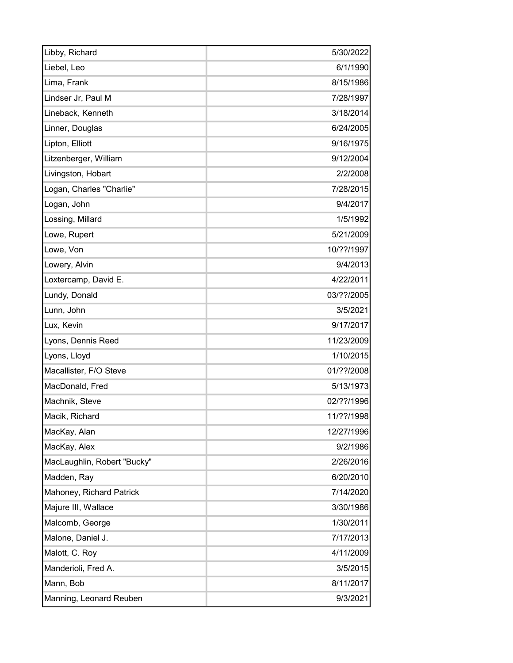| Libby, Richard              | 5/30/2022  |
|-----------------------------|------------|
| Liebel, Leo                 | 6/1/1990   |
| Lima, Frank                 | 8/15/1986  |
| Lindser Jr, Paul M          | 7/28/1997  |
| Lineback, Kenneth           | 3/18/2014  |
| Linner, Douglas             | 6/24/2005  |
| Lipton, Elliott             | 9/16/1975  |
| Litzenberger, William       | 9/12/2004  |
| Livingston, Hobart          | 2/2/2008   |
| Logan, Charles "Charlie"    | 7/28/2015  |
| Logan, John                 | 9/4/2017   |
| Lossing, Millard            | 1/5/1992   |
| Lowe, Rupert                | 5/21/2009  |
| Lowe, Von                   | 10/??/1997 |
| Lowery, Alvin               | 9/4/2013   |
| Loxtercamp, David E.        | 4/22/2011  |
| Lundy, Donald               | 03/??/2005 |
| Lunn, John                  | 3/5/2021   |
| Lux, Kevin                  | 9/17/2017  |
| Lyons, Dennis Reed          | 11/23/2009 |
| Lyons, Lloyd                | 1/10/2015  |
| Macallister, F/O Steve      | 01/??/2008 |
| MacDonald, Fred             | 5/13/1973  |
| Machnik, Steve              | 02/??/1996 |
| Macik, Richard              | 11/??/1998 |
| MacKay, Alan                | 12/27/1996 |
| MacKay, Alex                | 9/2/1986   |
| MacLaughlin, Robert "Bucky" | 2/26/2016  |
| Madden, Ray                 | 6/20/2010  |
| Mahoney, Richard Patrick    | 7/14/2020  |
| Majure III, Wallace         | 3/30/1986  |
| Malcomb, George             | 1/30/2011  |
| Malone, Daniel J.           | 7/17/2013  |
| Malott, C. Roy              | 4/11/2009  |
| Manderioli, Fred A.         | 3/5/2015   |
| Mann, Bob                   | 8/11/2017  |
| Manning, Leonard Reuben     | 9/3/2021   |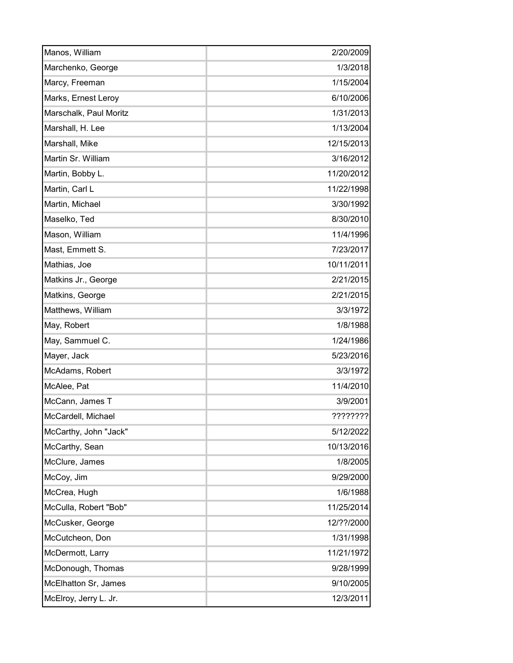| Manos, William         | 2/20/2009  |
|------------------------|------------|
| Marchenko, George      | 1/3/2018   |
| Marcy, Freeman         | 1/15/2004  |
| Marks, Ernest Leroy    | 6/10/2006  |
| Marschalk, Paul Moritz | 1/31/2013  |
| Marshall, H. Lee       | 1/13/2004  |
| Marshall, Mike         | 12/15/2013 |
| Martin Sr. William     | 3/16/2012  |
| Martin, Bobby L.       | 11/20/2012 |
| Martin, Carl L         | 11/22/1998 |
| Martin, Michael        | 3/30/1992  |
| Maselko, Ted           | 8/30/2010  |
| Mason, William         | 11/4/1996  |
| Mast, Emmett S.        | 7/23/2017  |
| Mathias, Joe           | 10/11/2011 |
| Matkins Jr., George    | 2/21/2015  |
| Matkins, George        | 2/21/2015  |
| Matthews, William      | 3/3/1972   |
| May, Robert            | 1/8/1988   |
| May, Sammuel C.        | 1/24/1986  |
| Mayer, Jack            | 5/23/2016  |
| McAdams, Robert        | 3/3/1972   |
| McAlee, Pat            | 11/4/2010  |
| McCann, James T        | 3/9/2001   |
| McCardell, Michael     | ????????   |
| McCarthy, John "Jack"  | 5/12/2022  |
| McCarthy, Sean         | 10/13/2016 |
| McClure, James         | 1/8/2005   |
| McCoy, Jim             | 9/29/2000  |
| McCrea, Hugh           | 1/6/1988   |
| McCulla, Robert "Bob"  | 11/25/2014 |
| McCusker, George       | 12/??/2000 |
| McCutcheon, Don        | 1/31/1998  |
| McDermott, Larry       | 11/21/1972 |
| McDonough, Thomas      | 9/28/1999  |
| McElhatton Sr, James   | 9/10/2005  |
| McElroy, Jerry L. Jr.  | 12/3/2011  |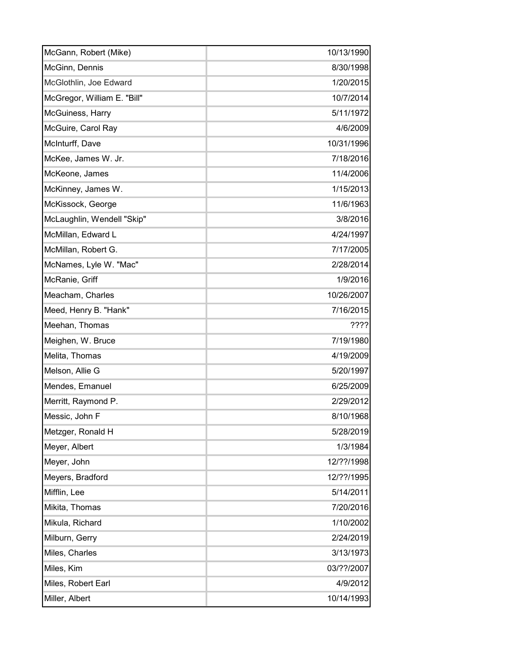| McGann, Robert (Mike)       | 10/13/1990 |
|-----------------------------|------------|
| McGinn, Dennis              | 8/30/1998  |
| McGlothlin, Joe Edward      | 1/20/2015  |
| McGregor, William E. "Bill" | 10/7/2014  |
| McGuiness, Harry            | 5/11/1972  |
| McGuire, Carol Ray          | 4/6/2009   |
| McInturff, Dave             | 10/31/1996 |
| McKee, James W. Jr.         | 7/18/2016  |
| McKeone, James              | 11/4/2006  |
| McKinney, James W.          | 1/15/2013  |
| McKissock, George           | 11/6/1963  |
| McLaughlin, Wendell "Skip"  | 3/8/2016   |
| McMillan, Edward L          | 4/24/1997  |
| McMillan, Robert G.         | 7/17/2005  |
| McNames, Lyle W. "Mac"      | 2/28/2014  |
| McRanie, Griff              | 1/9/2016   |
| Meacham, Charles            | 10/26/2007 |
| Meed, Henry B. "Hank"       | 7/16/2015  |
| Meehan, Thomas              | 7772       |
| Meighen, W. Bruce           | 7/19/1980  |
| Melita, Thomas              | 4/19/2009  |
| Melson, Allie G             | 5/20/1997  |
| Mendes, Emanuel             | 6/25/2009  |
| Merritt, Raymond P.         | 2/29/2012  |
| Messic, John F              | 8/10/1968  |
| Metzger, Ronald H           | 5/28/2019  |
| Meyer, Albert               | 1/3/1984   |
| Meyer, John                 | 12/??/1998 |
| Meyers, Bradford            | 12/??/1995 |
| Mifflin, Lee                | 5/14/2011  |
| Mikita, Thomas              | 7/20/2016  |
| Mikula, Richard             | 1/10/2002  |
| Milburn, Gerry              | 2/24/2019  |
| Miles, Charles              | 3/13/1973  |
| Miles, Kim                  | 03/??/2007 |
| Miles, Robert Earl          | 4/9/2012   |
| Miller, Albert              | 10/14/1993 |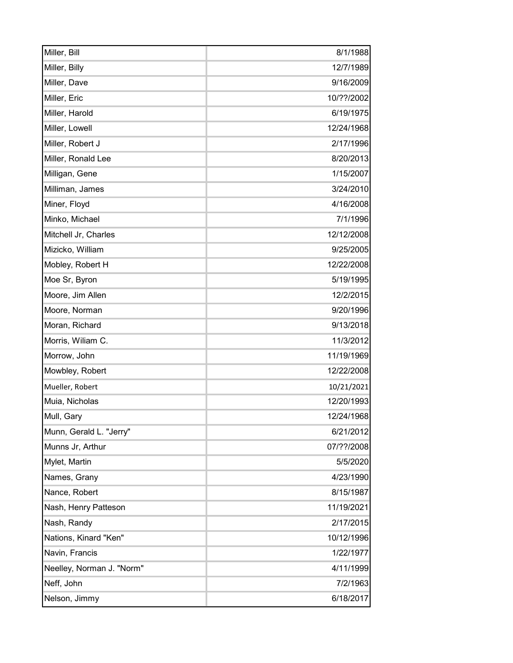| Miller, Bill              | 8/1/1988   |
|---------------------------|------------|
| Miller, Billy             | 12/7/1989  |
| Miller, Dave              | 9/16/2009  |
| Miller, Eric              | 10/??/2002 |
| Miller, Harold            | 6/19/1975  |
| Miller, Lowell            | 12/24/1968 |
| Miller, Robert J          | 2/17/1996  |
| Miller, Ronald Lee        | 8/20/2013  |
| Milligan, Gene            | 1/15/2007  |
| Milliman, James           | 3/24/2010  |
| Miner, Floyd              | 4/16/2008  |
| Minko, Michael            | 7/1/1996   |
| Mitchell Jr, Charles      | 12/12/2008 |
| Mizicko, William          | 9/25/2005  |
| Mobley, Robert H          | 12/22/2008 |
| Moe Sr, Byron             | 5/19/1995  |
| Moore, Jim Allen          | 12/2/2015  |
| Moore, Norman             | 9/20/1996  |
| Moran, Richard            | 9/13/2018  |
| Morris, Wiliam C.         | 11/3/2012  |
| Morrow, John              | 11/19/1969 |
| Mowbley, Robert           | 12/22/2008 |
| Mueller, Robert           | 10/21/2021 |
| Muia, Nicholas            | 12/20/1993 |
| Mull, Gary                | 12/24/1968 |
| Munn, Gerald L. "Jerry"   | 6/21/2012  |
| Munns Jr, Arthur          | 07/??/2008 |
| Mylet, Martin             | 5/5/2020   |
| Names, Grany              | 4/23/1990  |
| Nance, Robert             | 8/15/1987  |
| Nash, Henry Patteson      | 11/19/2021 |
| Nash, Randy               | 2/17/2015  |
| Nations, Kinard "Ken"     | 10/12/1996 |
| Navin, Francis            | 1/22/1977  |
| Neelley, Norman J. "Norm" | 4/11/1999  |
| Neff, John                | 7/2/1963   |
| Nelson, Jimmy             | 6/18/2017  |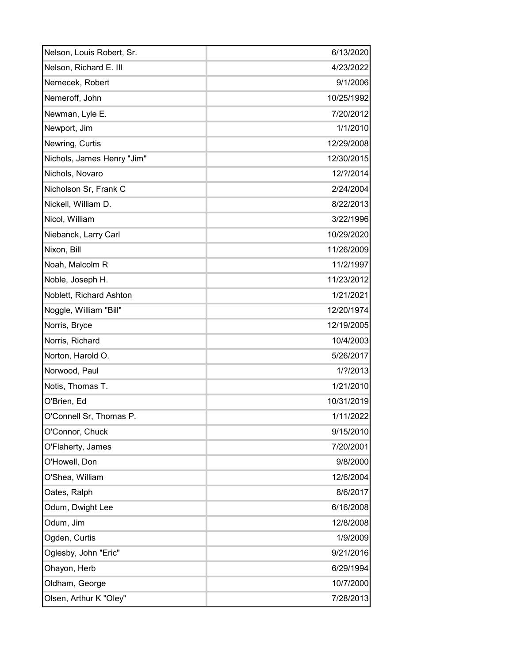| Nelson, Louis Robert, Sr.  | 6/13/2020  |
|----------------------------|------------|
| Nelson, Richard E. III     | 4/23/2022  |
| Nemecek, Robert            | 9/1/2006   |
| Nemeroff, John             | 10/25/1992 |
| Newman, Lyle E.            | 7/20/2012  |
| Newport, Jim               | 1/1/2010   |
| Newring, Curtis            | 12/29/2008 |
| Nichols, James Henry "Jim" | 12/30/2015 |
| Nichols, Novaro            | 12/?/2014  |
| Nicholson Sr, Frank C      | 2/24/2004  |
| Nickell, William D.        | 8/22/2013  |
| Nicol, William             | 3/22/1996  |
| Niebanck, Larry Carl       | 10/29/2020 |
| Nixon, Bill                | 11/26/2009 |
| Noah, Malcolm R            | 11/2/1997  |
| Noble, Joseph H.           | 11/23/2012 |
| Noblett, Richard Ashton    | 1/21/2021  |
| Noggle, William "Bill"     | 12/20/1974 |
| Norris, Bryce              | 12/19/2005 |
| Norris, Richard            | 10/4/2003  |
| Norton, Harold O.          | 5/26/2017  |
| Norwood, Paul              | 1/?/2013   |
| Notis, Thomas T.           | 1/21/2010  |
| O'Brien, Ed                | 10/31/2019 |
| O'Connell Sr, Thomas P.    | 1/11/2022  |
| O'Connor, Chuck            | 9/15/2010  |
| O'Flaherty, James          | 7/20/2001  |
| O'Howell, Don              | 9/8/2000   |
| O'Shea, William            | 12/6/2004  |
| Oates, Ralph               | 8/6/2017   |
| Odum, Dwight Lee           | 6/16/2008  |
| Odum, Jim                  | 12/8/2008  |
| Ogden, Curtis              | 1/9/2009   |
| Oglesby, John "Eric"       | 9/21/2016  |
| Ohayon, Herb               | 6/29/1994  |
| Oldham, George             | 10/7/2000  |
| Olsen, Arthur K "Oley"     | 7/28/2013  |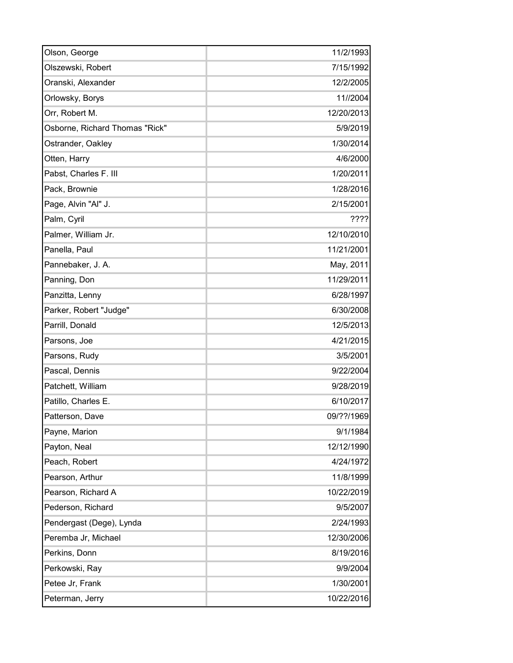| Olson, George                  | 11/2/1993  |
|--------------------------------|------------|
| Olszewski, Robert              | 7/15/1992  |
| Oranski, Alexander             | 12/2/2005  |
| Orlowsky, Borys                | 11//2004   |
| Orr, Robert M.                 | 12/20/2013 |
| Osborne, Richard Thomas "Rick" | 5/9/2019   |
| Ostrander, Oakley              | 1/30/2014  |
| Otten, Harry                   | 4/6/2000   |
| Pabst, Charles F. III          | 1/20/2011  |
| Pack, Brownie                  | 1/28/2016  |
| Page, Alvin "Al" J.            | 2/15/2001  |
| Palm, Cyril                    | ????       |
| Palmer, William Jr.            | 12/10/2010 |
| Panella, Paul                  | 11/21/2001 |
| Pannebaker, J. A.              | May, 2011  |
| Panning, Don                   | 11/29/2011 |
| Panzitta, Lenny                | 6/28/1997  |
| Parker, Robert "Judge"         | 6/30/2008  |
| Parrill, Donald                | 12/5/2013  |
| Parsons, Joe                   | 4/21/2015  |
| Parsons, Rudy                  | 3/5/2001   |
| Pascal, Dennis                 | 9/22/2004  |
| Patchett, William              | 9/28/2019  |
| Patillo, Charles E.            | 6/10/2017  |
| Patterson, Dave                | 09/??/1969 |
| Payne, Marion                  | 9/1/1984   |
| Payton, Neal                   | 12/12/1990 |
| Peach, Robert                  | 4/24/1972  |
| Pearson, Arthur                | 11/8/1999  |
| Pearson, Richard A             | 10/22/2019 |
| Pederson, Richard              | 9/5/2007   |
| Pendergast (Dege), Lynda       | 2/24/1993  |
| Peremba Jr, Michael            | 12/30/2006 |
| Perkins, Donn                  | 8/19/2016  |
| Perkowski, Ray                 | 9/9/2004   |
| Petee Jr, Frank                | 1/30/2001  |
| Peterman, Jerry                | 10/22/2016 |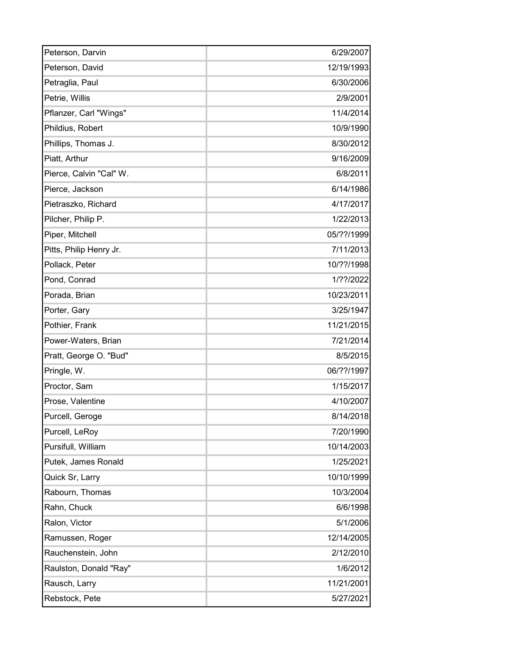| Peterson, Darvin        | 6/29/2007  |
|-------------------------|------------|
| Peterson, David         | 12/19/1993 |
| Petraglia, Paul         | 6/30/2006  |
| Petrie, Willis          | 2/9/2001   |
| Pflanzer, Carl "Wings"  | 11/4/2014  |
| Phildius, Robert        | 10/9/1990  |
| Phillips, Thomas J.     | 8/30/2012  |
| Piatt, Arthur           | 9/16/2009  |
| Pierce, Calvin "Cal" W. | 6/8/2011   |
| Pierce, Jackson         | 6/14/1986  |
| Pietraszko, Richard     | 4/17/2017  |
| Pilcher, Philip P.      | 1/22/2013  |
| Piper, Mitchell         | 05/??/1999 |
| Pitts, Philip Henry Jr. | 7/11/2013  |
| Pollack, Peter          | 10/??/1998 |
| Pond, Conrad            | 1/??/2022  |
| Porada, Brian           | 10/23/2011 |
| Porter, Gary            | 3/25/1947  |
| Pothier, Frank          | 11/21/2015 |
| Power-Waters, Brian     | 7/21/2014  |
| Pratt, George O. "Bud"  | 8/5/2015   |
| Pringle, W.             | 06/??/1997 |
| Proctor, Sam            | 1/15/2017  |
| Prose, Valentine        | 4/10/2007  |
| Purcell, Geroge         | 8/14/2018  |
| Purcell, LeRoy          | 7/20/1990  |
| Pursifull, William      | 10/14/2003 |
| Putek, James Ronald     | 1/25/2021  |
| Quick Sr, Larry         | 10/10/1999 |
| Rabourn, Thomas         | 10/3/2004  |
| Rahn, Chuck             | 6/6/1998   |
| Ralon, Victor           | 5/1/2006   |
| Ramussen, Roger         | 12/14/2005 |
| Rauchenstein, John      | 2/12/2010  |
| Raulston, Donald "Ray"  | 1/6/2012   |
| Rausch, Larry           | 11/21/2001 |
| Rebstock, Pete          | 5/27/2021  |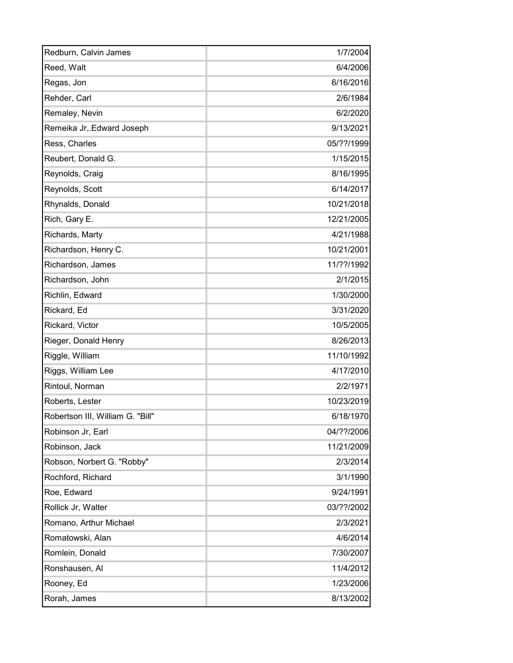| Redburn, Calvin James            | 1/7/2004   |
|----------------------------------|------------|
| Reed, Walt                       | 6/4/2006   |
| Regas, Jon                       | 6/16/2016  |
| Rehder, Carl                     | 2/6/1984   |
| Remaley, Nevin                   | 6/2/2020   |
| Remeika Jr, Edward Joseph        | 9/13/2021  |
| Ress, Charles                    | 05/??/1999 |
| Reubert, Donald G.               | 1/15/2015  |
| Reynolds, Craig                  | 8/16/1995  |
| Reynolds, Scott                  | 6/14/2017  |
| Rhynalds, Donald                 | 10/21/2018 |
| Rich, Gary E.                    | 12/21/2005 |
| Richards, Marty                  | 4/21/1988  |
| Richardson, Henry C.             | 10/21/2001 |
| Richardson, James                | 11/??/1992 |
| Richardson, John                 | 2/1/2015   |
| Richlin, Edward                  | 1/30/2000  |
| Rickard, Ed                      | 3/31/2020  |
| Rickard, Victor                  | 10/5/2005  |
| Rieger, Donald Henry             | 8/26/2013  |
| Riggle, William                  | 11/10/1992 |
| Riggs, William Lee               | 4/17/2010  |
| Rintoul, Norman                  | 2/2/1971   |
| Roberts, Lester                  | 10/23/2019 |
| Robertson III, William G. "Bill" | 6/18/1970  |
| Robinson Jr, Earl                | 04/??/2006 |
| Robinson, Jack                   | 11/21/2009 |
| Robson, Norbert G. "Robby"       | 2/3/2014   |
| Rochford, Richard                | 3/1/1990   |
| Roe, Edward                      | 9/24/1991  |
| Rollick Jr, Walter               | 03/??/2002 |
| Romano, Arthur Michael           | 2/3/2021   |
| Romatowski, Alan                 | 4/6/2014   |
| Romlein, Donald                  | 7/30/2007  |
| Ronshausen, Al                   | 11/4/2012  |
| Rooney, Ed                       | 1/23/2006  |
| Rorah, James                     | 8/13/2002  |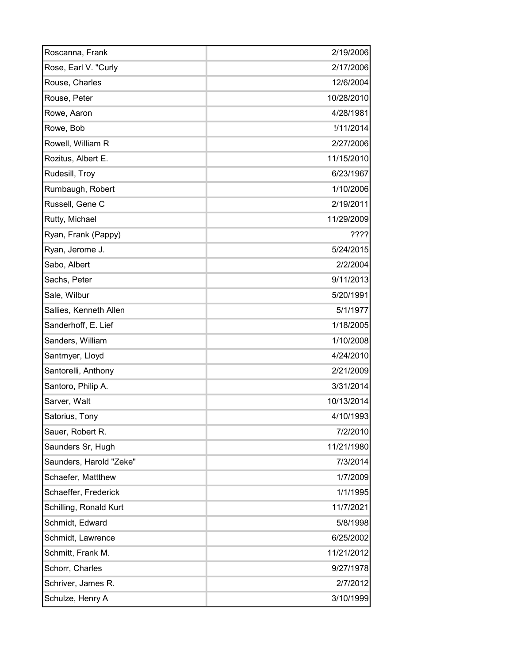| Roscanna, Frank         | 2/19/2006  |
|-------------------------|------------|
| Rose, Earl V. "Curly    | 2/17/2006  |
| Rouse, Charles          | 12/6/2004  |
| Rouse, Peter            | 10/28/2010 |
| Rowe, Aaron             | 4/28/1981  |
| Rowe, Bob               | !/11/2014  |
| Rowell, William R       | 2/27/2006  |
| Rozitus, Albert E.      | 11/15/2010 |
| Rudesill, Troy          | 6/23/1967  |
| Rumbaugh, Robert        | 1/10/2006  |
| Russell, Gene C         | 2/19/2011  |
| Rutty, Michael          | 11/29/2009 |
| Ryan, Frank (Pappy)     | 7222       |
| Ryan, Jerome J.         | 5/24/2015  |
| Sabo, Albert            | 2/2/2004   |
| Sachs, Peter            | 9/11/2013  |
| Sale, Wilbur            | 5/20/1991  |
| Sallies, Kenneth Allen  | 5/1/1977   |
| Sanderhoff, E. Lief     | 1/18/2005  |
| Sanders, William        | 1/10/2008  |
| Santmyer, Lloyd         | 4/24/2010  |
| Santorelli, Anthony     | 2/21/2009  |
| Santoro, Philip A.      | 3/31/2014  |
| Sarver, Walt            | 10/13/2014 |
| Satorius, Tony          | 4/10/1993  |
| Sauer, Robert R.        | 7/2/2010   |
| Saunders Sr, Hugh       | 11/21/1980 |
| Saunders, Harold "Zeke" | 7/3/2014   |
| Schaefer, Mattthew      | 1/7/2009   |
| Schaeffer, Frederick    | 1/1/1995   |
| Schilling, Ronald Kurt  | 11/7/2021  |
| Schmidt, Edward         | 5/8/1998   |
| Schmidt, Lawrence       | 6/25/2002  |
| Schmitt, Frank M.       | 11/21/2012 |
| Schorr, Charles         | 9/27/1978  |
| Schriver, James R.      | 2/7/2012   |
| Schulze, Henry A        | 3/10/1999  |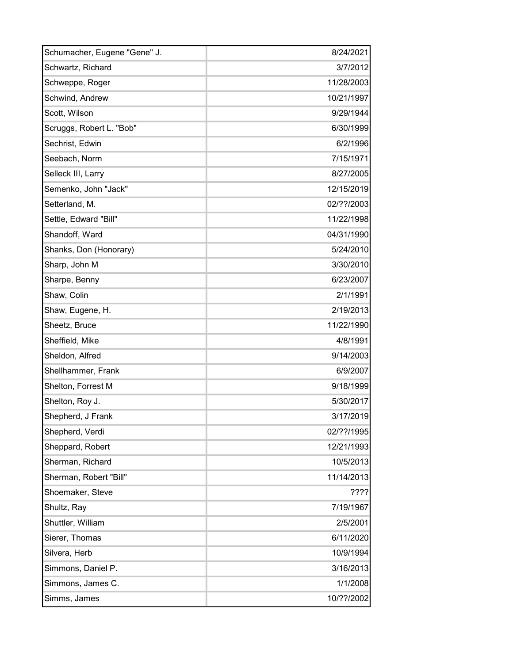| Schumacher, Eugene "Gene" J. | 8/24/2021  |
|------------------------------|------------|
| Schwartz, Richard            | 3/7/2012   |
| Schweppe, Roger              | 11/28/2003 |
| Schwind, Andrew              | 10/21/1997 |
| Scott, Wilson                | 9/29/1944  |
| Scruggs, Robert L. "Bob"     | 6/30/1999  |
| Sechrist, Edwin              | 6/2/1996   |
| Seebach, Norm                | 7/15/1971  |
| Selleck III, Larry           | 8/27/2005  |
| Semenko, John "Jack"         | 12/15/2019 |
| Setterland, M.               | 02/??/2003 |
| Settle, Edward "Bill"        | 11/22/1998 |
| Shandoff, Ward               | 04/31/1990 |
| Shanks, Don (Honorary)       | 5/24/2010  |
| Sharp, John M                | 3/30/2010  |
| Sharpe, Benny                | 6/23/2007  |
| Shaw, Colin                  | 2/1/1991   |
| Shaw, Eugene, H.             | 2/19/2013  |
| Sheetz, Bruce                | 11/22/1990 |
| Sheffield, Mike              | 4/8/1991   |
| Sheldon, Alfred              | 9/14/2003  |
| Shellhammer, Frank           | 6/9/2007   |
| Shelton, Forrest M           | 9/18/1999  |
| Shelton, Roy J.              | 5/30/2017  |
| Shepherd, J Frank            | 3/17/2019  |
| Shepherd, Verdi              | 02/??/1995 |
| Sheppard, Robert             | 12/21/1993 |
| Sherman, Richard             | 10/5/2013  |
| Sherman, Robert "Bill"       | 11/14/2013 |
| Shoemaker, Steve             | 7777       |
| Shultz, Ray                  | 7/19/1967  |
| Shuttler, William            | 2/5/2001   |
| Sierer, Thomas               | 6/11/2020  |
| Silvera, Herb                | 10/9/1994  |
| Simmons, Daniel P.           | 3/16/2013  |
| Simmons, James C.            | 1/1/2008   |
| Simms, James                 | 10/??/2002 |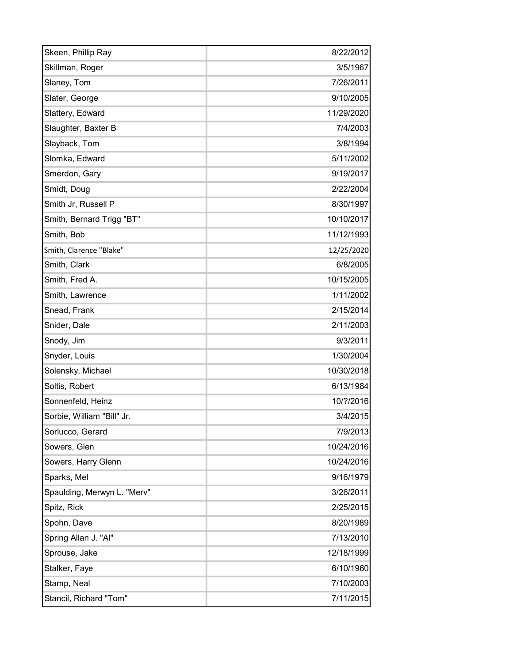| Skeen, Phillip Ray          | 8/22/2012  |
|-----------------------------|------------|
| Skillman, Roger             | 3/5/1967   |
| Slaney, Tom                 | 7/26/2011  |
| Slater, George              | 9/10/2005  |
| Slattery, Edward            | 11/29/2020 |
| Slaughter, Baxter B         | 7/4/2003   |
| Slayback, Tom               | 3/8/1994   |
| Slomka, Edward              | 5/11/2002  |
| Smerdon, Gary               | 9/19/2017  |
| Smidt, Doug                 | 2/22/2004  |
| Smith Jr, Russell P         | 8/30/1997  |
| Smith, Bernard Trigg "BT"   | 10/10/2017 |
| Smith, Bob                  | 11/12/1993 |
| Smith, Clarence "Blake"     | 12/25/2020 |
| Smith, Clark                | 6/8/2005   |
| Smith, Fred A.              | 10/15/2005 |
| Smith, Lawrence             | 1/11/2002  |
| Snead, Frank                | 2/15/2014  |
| Snider, Dale                | 2/11/2003  |
| Snody, Jim                  | 9/3/2011   |
| Snyder, Louis               | 1/30/2004  |
| Solensky, Michael           | 10/30/2018 |
| Soltis, Robert              | 6/13/1984  |
| Sonnenfeld, Heinz           | 10/?/2016  |
| Sorbie, William "Bill" Jr.  | 3/4/2015   |
| Sorlucco, Gerard            | 7/9/2013   |
| Sowers, Glen                | 10/24/2016 |
| Sowers, Harry Glenn         | 10/24/2016 |
| Sparks, Mel                 | 9/16/1979  |
| Spaulding, Merwyn L. "Merv" | 3/26/2011  |
| Spitz, Rick                 | 2/25/2015  |
| Spohn, Dave                 | 8/20/1989  |
| Spring Allan J. "Al"        | 7/13/2010  |
| Sprouse, Jake               | 12/18/1999 |
| Stalker, Faye               | 6/10/1960  |
| Stamp, Neal                 | 7/10/2003  |
| Stancil, Richard "Tom"      | 7/11/2015  |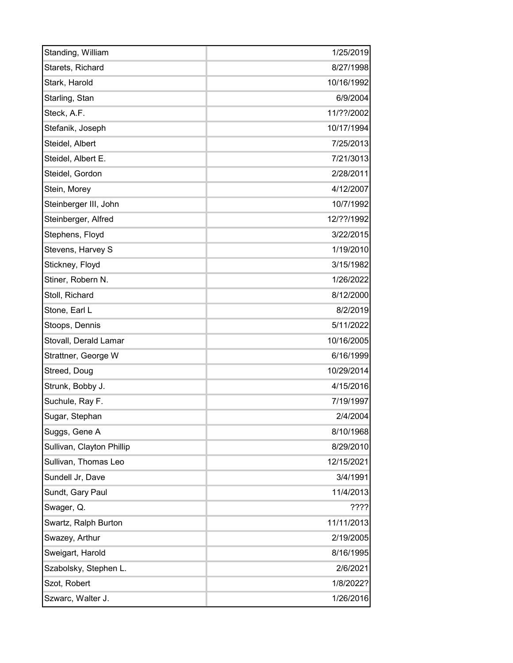| Standing, William         | 1/25/2019  |
|---------------------------|------------|
| Starets, Richard          | 8/27/1998  |
| Stark, Harold             | 10/16/1992 |
| Starling, Stan            | 6/9/2004   |
| Steck, A.F.               | 11/??/2002 |
| Stefanik, Joseph          | 10/17/1994 |
| Steidel, Albert           | 7/25/2013  |
| Steidel, Albert E.        | 7/21/3013  |
| Steidel, Gordon           | 2/28/2011  |
| Stein, Morey              | 4/12/2007  |
| Steinberger III, John     | 10/7/1992  |
| Steinberger, Alfred       | 12/??/1992 |
| Stephens, Floyd           | 3/22/2015  |
| Stevens, Harvey S         | 1/19/2010  |
| Stickney, Floyd           | 3/15/1982  |
| Stiner, Robern N.         | 1/26/2022  |
| Stoll, Richard            | 8/12/2000  |
| Stone, Earl L             | 8/2/2019   |
| Stoops, Dennis            | 5/11/2022  |
| Stovall, Derald Lamar     | 10/16/2005 |
| Strattner, George W       | 6/16/1999  |
| Streed, Doug              | 10/29/2014 |
| Strunk, Bobby J.          | 4/15/2016  |
| Suchule, Ray F.           | 7/19/1997  |
| Sugar, Stephan            | 2/4/2004   |
| Suggs, Gene A             | 8/10/1968  |
| Sullivan, Clayton Phillip | 8/29/2010  |
| Sullivan, Thomas Leo      | 12/15/2021 |
| Sundell Jr, Dave          | 3/4/1991   |
| Sundt, Gary Paul          | 11/4/2013  |
| Swager, Q.                | ????       |
| Swartz, Ralph Burton      | 11/11/2013 |
| Swazey, Arthur            | 2/19/2005  |
| Sweigart, Harold          | 8/16/1995  |
| Szabolsky, Stephen L.     | 2/6/2021   |
| Szot, Robert              | 1/8/2022?  |
| Szwarc, Walter J.         | 1/26/2016  |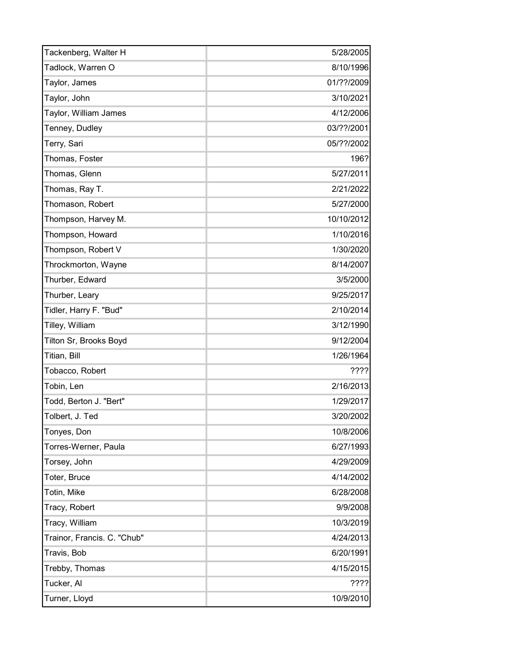| Tackenberg, Walter H        | 5/28/2005  |
|-----------------------------|------------|
| Tadlock, Warren O           | 8/10/1996  |
| Taylor, James               | 01/??/2009 |
| Taylor, John                | 3/10/2021  |
| Taylor, William James       | 4/12/2006  |
| Tenney, Dudley              | 03/??/2001 |
| Terry, Sari                 | 05/??/2002 |
| Thomas, Foster              | 196?       |
| Thomas, Glenn               | 5/27/2011  |
| Thomas, Ray T.              | 2/21/2022  |
| Thomason, Robert            | 5/27/2000  |
| Thompson, Harvey M.         | 10/10/2012 |
| Thompson, Howard            | 1/10/2016  |
| Thompson, Robert V          | 1/30/2020  |
| Throckmorton, Wayne         | 8/14/2007  |
| Thurber, Edward             | 3/5/2000   |
| Thurber, Leary              | 9/25/2017  |
| Tidler, Harry F. "Bud"      | 2/10/2014  |
| Tilley, William             | 3/12/1990  |
| Tilton Sr, Brooks Boyd      | 9/12/2004  |
| Titian, Bill                | 1/26/1964  |
| Tobacco, Robert             | 7222       |
| Tobin, Len                  | 2/16/2013  |
| Todd, Berton J. "Bert"      | 1/29/2017  |
| Tolbert, J. Ted             | 3/20/2002  |
| Tonyes, Don                 | 10/8/2006  |
| Torres-Werner, Paula        | 6/27/1993  |
| Torsey, John                | 4/29/2009  |
| Toter, Bruce                | 4/14/2002  |
| Totin, Mike                 | 6/28/2008  |
| Tracy, Robert               | 9/9/2008   |
| Tracy, William              | 10/3/2019  |
| Trainor, Francis. C. "Chub" | 4/24/2013  |
| Travis, Bob                 | 6/20/1991  |
| Trebby, Thomas              | 4/15/2015  |
| Tucker, Al                  | 7222       |
| Turner, Lloyd               | 10/9/2010  |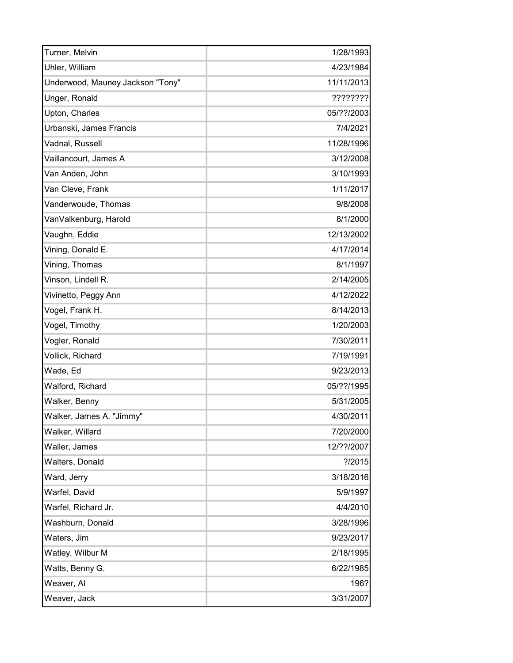| Turner, Melvin                   | 1/28/1993  |
|----------------------------------|------------|
| Uhler, William                   | 4/23/1984  |
| Underwood, Mauney Jackson "Tony" | 11/11/2013 |
| Unger, Ronald                    | ????????   |
| Upton, Charles                   | 05/??/2003 |
| Urbanski, James Francis          | 7/4/2021   |
| Vadnal, Russell                  | 11/28/1996 |
| Vaillancourt, James A            | 3/12/2008  |
| Van Anden, John                  | 3/10/1993  |
| Van Cleve, Frank                 | 1/11/2017  |
| Vanderwoude, Thomas              | 9/8/2008   |
| VanValkenburg, Harold            | 8/1/2000   |
| Vaughn, Eddie                    | 12/13/2002 |
| Vining, Donald E.                | 4/17/2014  |
| Vining, Thomas                   | 8/1/1997   |
| Vinson, Lindell R.               | 2/14/2005  |
| Vivinetto, Peggy Ann             | 4/12/2022  |
| Vogel, Frank H.                  | 8/14/2013  |
| Vogel, Timothy                   | 1/20/2003  |
| Vogler, Ronald                   | 7/30/2011  |
| Vollick, Richard                 | 7/19/1991  |
| Wade, Ed                         | 9/23/2013  |
| Walford, Richard                 | 05/??/1995 |
| Walker, Benny                    | 5/31/2005  |
| Walker, James A. "Jimmy"         | 4/30/2011  |
| Walker, Willard                  | 7/20/2000  |
| Waller, James                    | 12/??/2007 |
| Walters, Donald                  | ? / 2015   |
| Ward, Jerry                      | 3/18/2016  |
| Warfel, David                    | 5/9/1997   |
| Warfel, Richard Jr.              | 4/4/2010   |
| Washburn, Donald                 | 3/28/1996  |
| Waters, Jim                      | 9/23/2017  |
| Watley, Wilbur M                 | 2/18/1995  |
| Watts, Benny G.                  | 6/22/1985  |
| Weaver, Al                       | 196?       |
| Weaver, Jack                     | 3/31/2007  |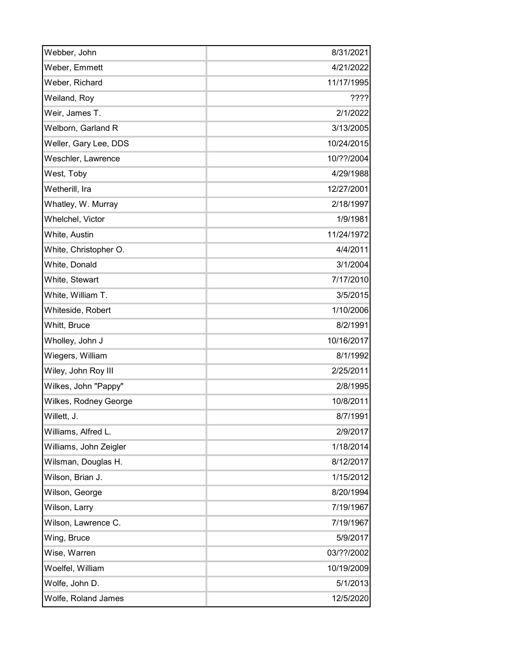| Webber, John           | 8/31/2021  |
|------------------------|------------|
| Weber, Emmett          | 4/21/2022  |
| Weber, Richard         | 11/17/1995 |
| Weiland, Roy           | ????       |
| Weir, James T.         | 2/1/2022   |
| Welborn, Garland R     | 3/13/2005  |
| Weller, Gary Lee, DDS  | 10/24/2015 |
| Weschler, Lawrence     | 10/??/2004 |
| West, Toby             | 4/29/1988  |
| Wetherill, Ira         | 12/27/2001 |
| Whatley, W. Murray     | 2/18/1997  |
| Whelchel, Victor       | 1/9/1981   |
| White, Austin          | 11/24/1972 |
| White, Christopher O.  | 4/4/2011   |
| White, Donald          | 3/1/2004   |
| White, Stewart         | 7/17/2010  |
| White, William T.      | 3/5/2015   |
| Whiteside, Robert      | 1/10/2006  |
| Whitt, Bruce           | 8/2/1991   |
| Wholley, John J        | 10/16/2017 |
| Wiegers, William       | 8/1/1992   |
| Wiley, John Roy III    | 2/25/2011  |
| Wilkes, John "Pappy"   | 2/8/1995   |
| Wilkes, Rodney George  | 10/8/2011  |
| Willett, J.            | 8/7/1991   |
| Williams, Alfred L.    | 2/9/2017   |
| Williams, John Zeigler | 1/18/2014  |
| Wilsman, Douglas H.    | 8/12/2017  |
| Wilson, Brian J.       | 1/15/2012  |
| Wilson, George         | 8/20/1994  |
| Wilson, Larry          | 7/19/1967  |
| Wilson, Lawrence C.    | 7/19/1967  |
| Wing, Bruce            | 5/9/2017   |
| Wise, Warren           | 03/??/2002 |
| Woelfel, William       | 10/19/2009 |
| Wolfe, John D.         | 5/1/2013   |
| Wolfe, Roland James    | 12/5/2020  |